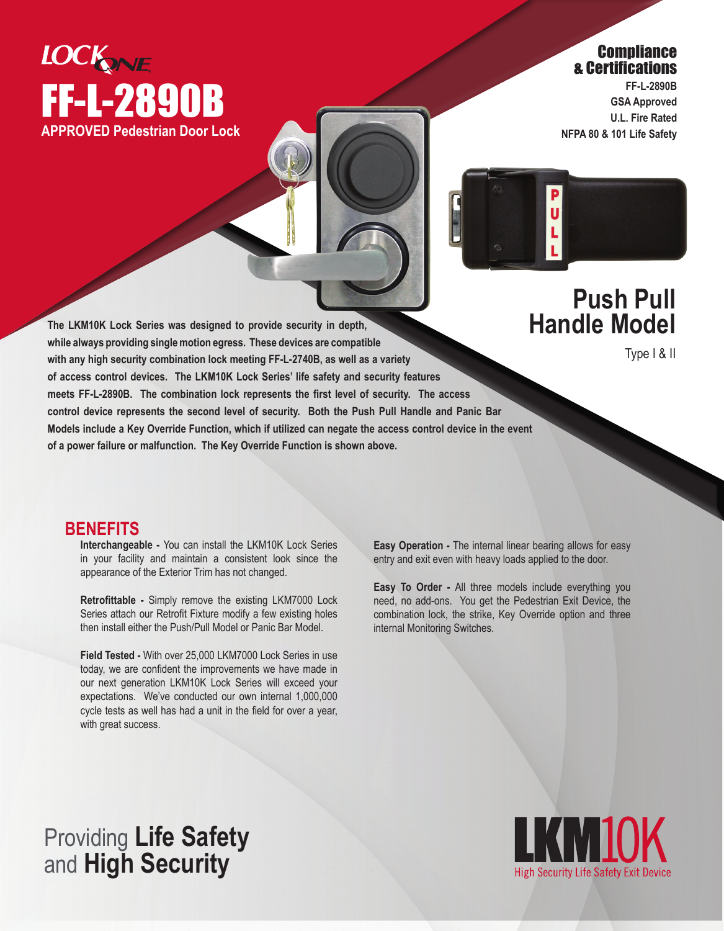

## **Compliance** & Certifications

**FF-L-2890B GSA Approved U.L. Fire Rated NFPA 80 & 101 Life Safety**



Ū

Type I & II

**The LKM10K Lock Series was designed to provide security in depth, while always providing single motion egress. These devices are compatible with any high security combination lock meeting FF-L-2740B, as well as a variety of access control devices. The LKM10K Lock Series' life safety and security features meets FF-L-2890B. The combination lock represents the first level of security. The access control device represents the second level of security. Both the Push Pull Handle and Panic Bar Models include a Key Override Function, which if utilized can negate the access control device in the event of a power failure or malfunction. The Key Override Function is shown above.**

## **BENEFITS**

**Interchangeable -** You can install the LKM10K Lock Series in your facility and maintain a consistent look since the appearance of the Exterior Trim has not changed.

**Retrofittable -** Simply remove the existing LKM7000 Lock Series attach our Retrofit Fixture modify a few existing holes then install either the Push/Pull Model or Panic Bar Model.

**Field Tested -** With over 25,000 LKM7000 Lock Series in use today, we are confident the improvements we have made in our next generation LKM10K Lock Series will exceed your expectations. We've conducted our own internal 1,000,000 cycle tests as well has had a unit in the field for over a year, with great success.

**Easy Operation -** The internal linear bearing allows for easy entry and exit even with heavy loads applied to the door.

**Easy To Order -** All three models include everything you need, no add-ons. You get the Pedestrian Exit Device, the combination lock, the strike, Key Override option and three internal Monitoring Switches.

## Providing **Life Safety** and **High Security**